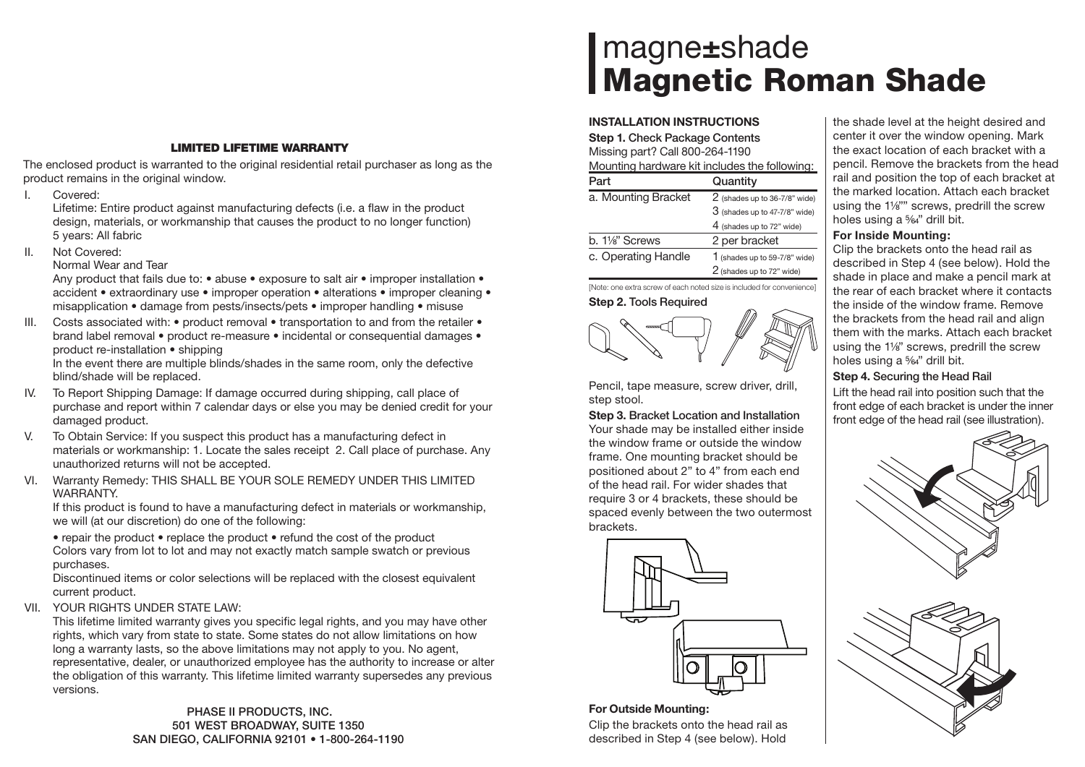## **LIMITED LIFETIME WARRANTY**

The enclosed product is warranted to the original residential retail purchaser as long as the product remains in the original window.

I. Covered:

Lifetime: Entire product against manufacturing defects (i.e. a flaw in the product design, materials, or workmanship that causes the product to no longer function) 5 years: All fabric

II. Not Covered:

Normal Wear and Tear

Any product that fails due to: • abuse • exposure to salt air • improper installation • accident • extraordinary use • improper operation • alterations • improper cleaning • misapplication • damage from pests/insects/pets • improper handling • misuse

III. Costs associated with:  $\bullet$  product removal  $\bullet$  transportation to and from the retailer  $\bullet$ brand label removal • product re-measure • incidental or consequential damages • product re-installation • shipping

In the event there are multiple blinds/shades in the same room, only the defective blind/shade will be replaced.

- IV. To Report Shipping Damage: If damage occurred during shipping, call place of purchase and report within 7 calendar days or else you may be denied credit for your damaged product.
- V. To Obtain Service: If you suspect this product has a manufacturing defect in materials or workmanship: 1. Locate the sales receipt 2. Call place of purchase. Any unauthorized returns will not be accepted.
- VI. Warranty Remedy: THIS SHALL BE YOUR SOLE REMEDY UNDER THIS LIMITED WARRANTY.

If this product is found to have a manufacturing defect in materials or workmanship, we will (at our discretion) do one of the following:

• repair the product • replace the product • refund the cost of the product Colors vary from lot to lot and may not exactly match sample swatch or previous purchases.

Discontinued items or color selections will be replaced with the closest equivalent current product.

VII. YOUR RIGHTS UNDER STATE LAW:

This lifetime limited warranty gives you specific legal rights, and you may have other rights, which vary from state to state. Some states do not allow limitations on how long a warranty lasts, so the above limitations may not apply to you. No agent, representative, dealer, or unauthorized employee has the authority to increase or alter the obligation of this warranty. This lifetime limited warranty supersedes any previous versions.

> **PHASE II PRODUCTS, INC. 501 WEST BROADWAY, SUITE 1350 SAN DIEGO, CALIFORNIA 92101 • 1-800-264-1190**

# magne**±**shade **Magnetic Roman Shade**

#### **INSTALLATION INSTRUCTIONS**

| <b>Step 1. Check Package Contents</b><br>Missing part? Call 800-264-1190<br>Mounting hardware kit includes the following: |                                  |
|---------------------------------------------------------------------------------------------------------------------------|----------------------------------|
| Part                                                                                                                      | Quantity                         |
| a. Mounting Bracket                                                                                                       | $2$ (shades up to 36-7/8" wide)  |
|                                                                                                                           | $3$ (shades up to 47-7/8" wide)  |
|                                                                                                                           | 4 (shades up to 72" wide)        |
| b. 11/s" Screws                                                                                                           | 2 per bracket                    |
| c. Operating Handle                                                                                                       | 1 (shades up to $59-7/8$ " wide) |
|                                                                                                                           | 2 (shades up to 72" wide)        |

[Note: one extra screw of each noted size is included for convenience]



Pencil, tape measure, screw driver, drill, step stool.

**Step 3. Bracket Location and Installation** Your shade may be installed either inside the window frame or outside the window frame. One mounting bracket should be positioned about 2" to 4" from each end of the head rail. For wider shades that require 3 or 4 brackets, these should be spaced evenly between the two outermost brackets.



## **For Outside Mounting:**

Clip the brackets onto the head rail as described in Step 4 (see below). Hold the shade level at the height desired and center it over the window opening. Mark the exact location of each bracket with a pencil. Remove the brackets from the head rail and position the top of each bracket at the marked location. Attach each bracket using the 1¼"" screws, predrill the screw holes using a  $\frac{5}{4}$ " drill bit.

## **For Inside Mounting:**

Clip the brackets onto the head rail as described in Step 4 (see below). Hold the shade in place and make a pencil mark at the rear of each bracket where it contacts the inside of the window frame. Remove the brackets from the head rail and align them with the marks. Attach each bracket using the 1¼" screws, predrill the screw holes using a  $\frac{5}{64}$ " drill bit.

## **Step 4. Securing the Head Rail**

Lift the head rail into position such that the front edge of each bracket is under the inner front edge of the head rail (see illustration).